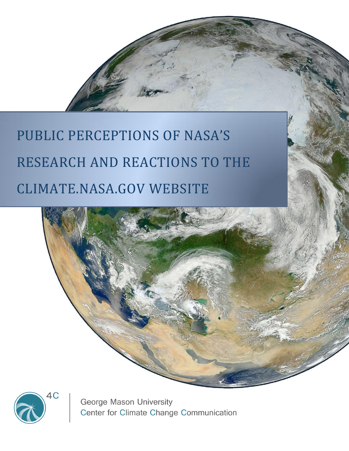# PUBLIC PERCEPTIONS OF NASA'S RESEARCH AND REACTIONS TO THE CLIMATE.NASA.GOV WEBSITE





George Mason University Center for Climate Change Communication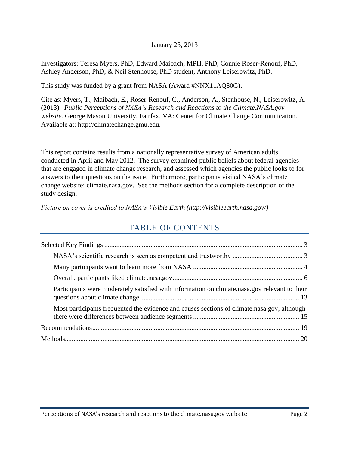#### January 25, 2013

Investigators: Teresa Myers, PhD, Edward Maibach, MPH, PhD, Connie Roser-Renouf, PhD, Ashley Anderson, PhD, & Neil Stenhouse, PhD student, Anthony Leiserowitz, PhD.

This study was funded by a grant from NASA (Award #NNX11AQ80G).

Cite as: Myers, T., Maibach, E., Roser-Renouf, C., Anderson, A., Stenhouse, N., Leiserowitz, A. (2013). *Public Perceptions of NASA's Research and Reactions to the Climate.NASA.gov website.* George Mason University, Fairfax, VA: Center for Climate Change Communication. Available at: http://climatechange.gmu.edu.

This report contains results from a nationally representative survey of American adults conducted in April and May 2012. The survey examined public beliefs about federal agencies that are engaged in climate change research, and assessed which agencies the public looks to for answers to their questions on the issue. Furthermore, participants visited NASA's climate change website: climate.nasa.gov. See the methods section for a complete description of the study design.

*Picture on cover is credited to NASA's Visible Earth (http://visibleearth.nasa.gov/)*

# TABLE OF CONTENTS

| Participants were moderately satisfied with information on climate.nasa.gov relevant to their |  |
|-----------------------------------------------------------------------------------------------|--|
| Most participants frequented the evidence and causes sections of climate nasa gov, although   |  |
|                                                                                               |  |
|                                                                                               |  |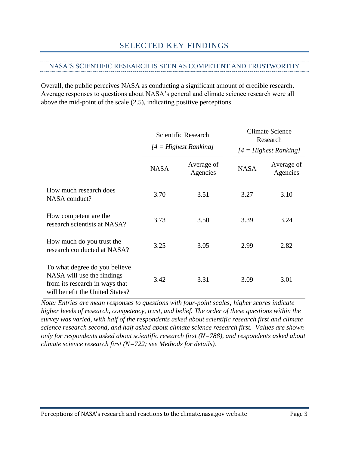# <span id="page-2-1"></span><span id="page-2-0"></span>NASA'S SCIENTIFIC RESEARCH IS SEEN AS COMPETENT AND TRUSTWORTHY

Overall, the public perceives NASA as conducting a significant amount of credible research. Average responses to questions about NASA's general and climate science research were all above the mid-point of the scale (2.5), indicating positive perceptions.

|                                                                                                                                  | Scientific Research<br>$[4 = Higher Ranking]$ |                        |             | <b>Climate Science</b><br>Research<br>$[4 = Higher Ranking]$ |
|----------------------------------------------------------------------------------------------------------------------------------|-----------------------------------------------|------------------------|-------------|--------------------------------------------------------------|
|                                                                                                                                  | <b>NASA</b>                                   | Average of<br>Agencies | <b>NASA</b> | Average of<br>Agencies                                       |
| How much research does<br>NASA conduct?                                                                                          | 3.70                                          | 3.51                   | 3.27        | 3.10                                                         |
| How competent are the<br>research scientists at NASA?                                                                            | 3.73                                          | 3.50                   | 3.39        | 3.24                                                         |
| How much do you trust the<br>research conducted at NASA?                                                                         | 3.25                                          | 3.05                   | 2.99        | 2.82                                                         |
| To what degree do you believe<br>NASA will use the findings<br>from its research in ways that<br>will benefit the United States? | 3.42                                          | 3.31                   | 3.09        | 3.01                                                         |

*Note: Entries are mean responses to questions with four-point scales; higher scores indicate higher levels of research, competency, trust, and belief. The order of these questions within the survey was varied, with half of the respondents asked about scientific research first and climate science research second, and half asked about climate science research first. Values are shown only for respondents asked about scientific research first (N=788), and respondents asked about climate science research first (N=722; see Methods for details).*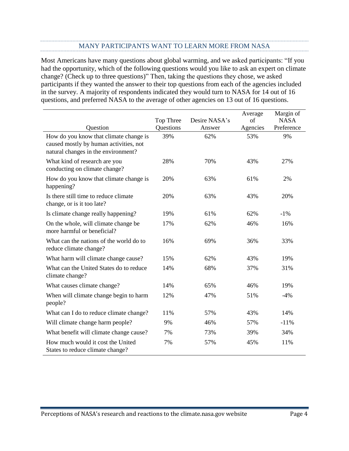#### MANY PARTICIPANTS WANT TO LEARN MORE FROM NASA

<span id="page-3-0"></span>Most Americans have many questions about global warming, and we asked participants: "If you had the opportunity, which of the following questions would you like to ask an expert on climate change? (Check up to three questions)" Then, taking the questions they chose, we asked participants if they wanted the answer to their top questions from each of the agencies included in the survey. A majority of respondents indicated they would turn to NASA for 14 out of 16 questions, and preferred NASA to the average of other agencies on 13 out of 16 questions.

|                                                                                                                         |                        |                         | Average        | Margin of                 |
|-------------------------------------------------------------------------------------------------------------------------|------------------------|-------------------------|----------------|---------------------------|
| Question                                                                                                                | Top Three<br>Questions | Desire NASA's<br>Answer | of<br>Agencies | <b>NASA</b><br>Preference |
| How do you know that climate change is<br>caused mostly by human activities, not<br>natural changes in the environment? | 39%                    | 62%                     | 53%            | 9%                        |
| What kind of research are you<br>conducting on climate change?                                                          | 28%                    | 70%                     | 43%            | 27%                       |
| How do you know that climate change is<br>happening?                                                                    | 20%                    | 63%                     | 61%            | 2%                        |
| Is there still time to reduce climate<br>change, or is it too late?                                                     | 20%                    | 63%                     | 43%            | 20%                       |
| Is climate change really happening?                                                                                     | 19%                    | 61%                     | 62%            | $-1\%$                    |
| On the whole, will climate change be<br>more harmful or beneficial?                                                     | 17%                    | 62%                     | 46%            | 16%                       |
| What can the nations of the world do to<br>reduce climate change?                                                       | 16%                    | 69%                     | 36%            | 33%                       |
| What harm will climate change cause?                                                                                    | 15%                    | 62%                     | 43%            | 19%                       |
| What can the United States do to reduce<br>climate change?                                                              | 14%                    | 68%                     | 37%            | 31%                       |
| What causes climate change?                                                                                             | 14%                    | 65%                     | 46%            | 19%                       |
| When will climate change begin to harm<br>people?                                                                       | 12%                    | 47%                     | 51%            | $-4%$                     |
| What can I do to reduce climate change?                                                                                 | 11%                    | 57%                     | 43%            | 14%                       |
| Will climate change harm people?                                                                                        | 9%                     | 46%                     | 57%            | $-11%$                    |
| What benefit will climate change cause?                                                                                 | 7%                     | 73%                     | 39%            | 34%                       |
| How much would it cost the United<br>States to reduce climate change?                                                   | 7%                     | 57%                     | 45%            | 11%                       |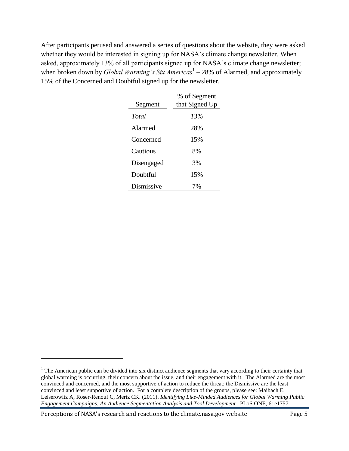After participants perused and answered a series of questions about the website, they were asked whether they would be interested in signing up for NASA's climate change newsletter. When asked, approximately 13% of all participants signed up for NASA's climate change newsletter; when broken down by *Global Warming's Six Americas*<sup>1</sup> – 28% of Alarmed, and approximately 15% of the Concerned and Doubtful signed up for the newsletter.

| Segment    | % of Segment<br>that Signed Up |
|------------|--------------------------------|
| Total      | 13%                            |
| Alarmed    | 28%                            |
| Concerned  | 15%                            |
| Cautious   | 8%                             |
| Disengaged | 3%                             |
| Doubtful   | 15%                            |
| Dismissive | 7%                             |

Perceptions of NASA's research and reactions to the climate.nasa.gov website Page 5

 $\overline{\phantom{0}}$ 

 $1$ . The American public can be divided into six distinct audience segments that vary according to their certainty that global warming is occurring, their concern about the issue, and their engagement with it. The Alarmed are the most convinced and concerned, and the most supportive of action to reduce the threat; the Dismissive are the least convinced and least supportive of action. For a complete description of the groups, please see: Maibach E, Leiserowitz A, Roser-Renouf C, Mertz CK. (2011). *Identifying Like-Minded Audiences for Global Warming Public Engagement Campaigns: An Audience Segmentation Analysis and Tool Development.* PLoS ONE, 6: e17571.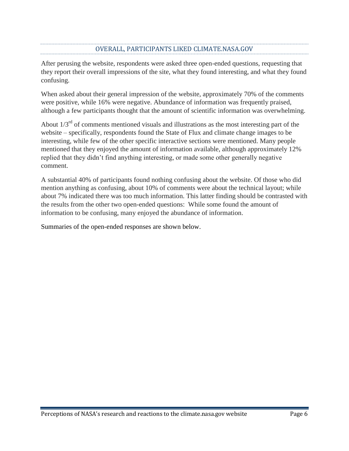# OVERALL, PARTICIPANTS LIKED CLIMATE.NASA.GOV

<span id="page-5-0"></span>After perusing the website, respondents were asked three open-ended questions, requesting that they report their overall impressions of the site, what they found interesting, and what they found confusing.

When asked about their general impression of the website, approximately 70% of the comments were positive, while 16% were negative. Abundance of information was frequently praised, although a few participants thought that the amount of scientific information was overwhelming.

About  $1/3<sup>rd</sup>$  of comments mentioned visuals and illustrations as the most interesting part of the website – specifically, respondents found the State of Flux and climate change images to be interesting, while few of the other specific interactive sections were mentioned. Many people mentioned that they enjoyed the amount of information available, although approximately 12% replied that they didn't find anything interesting, or made some other generally negative comment.

A substantial 40% of participants found nothing confusing about the website. Of those who did mention anything as confusing, about 10% of comments were about the technical layout; while about 7% indicated there was too much information. This latter finding should be contrasted with the results from the other two open-ended questions: While some found the amount of information to be confusing, many enjoyed the abundance of information.

Summaries of the open-ended responses are shown below.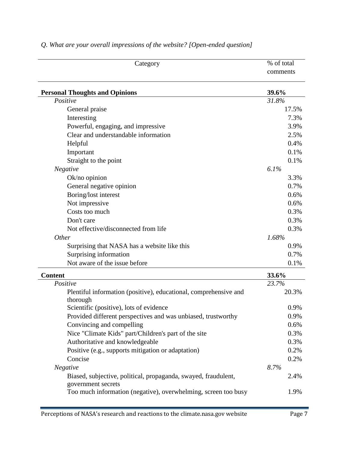| Category                                                                             | % of total |
|--------------------------------------------------------------------------------------|------------|
|                                                                                      | comments   |
| <b>Personal Thoughts and Opinions</b>                                                | 39.6%      |
| Positive                                                                             | 31.8%      |
| General praise                                                                       | 17.5%      |
| Interesting                                                                          | 7.3%       |
| Powerful, engaging, and impressive                                                   | 3.9%       |
| Clear and understandable information                                                 | 2.5%       |
| Helpful                                                                              | 0.4%       |
| Important                                                                            | 0.1%       |
| Straight to the point                                                                | 0.1%       |
| Negative                                                                             | 6.1%       |
| $Ok/no$ opinion                                                                      | 3.3%       |
| General negative opinion                                                             | 0.7%       |
| Boring/lost interest                                                                 | 0.6%       |
| Not impressive                                                                       | 0.6%       |
| Costs too much                                                                       | 0.3%       |
| Don't care                                                                           | 0.3%       |
| Not effective/disconnected from life                                                 | 0.3%       |
| Other                                                                                | 1.68%      |
| Surprising that NASA has a website like this                                         | 0.9%       |
| Surprising information                                                               | 0.7%       |
| Not aware of the issue before                                                        | 0.1%       |
| <b>Content</b>                                                                       | 33.6%      |
| Positive                                                                             | 23.7%      |
| Plentiful information (positive), educational, comprehensive and<br>thorough         | 20.3%      |
| Scientific (positive), lots of evidence                                              | 0.9%       |
| Provided different perspectives and was unbiased, trustworthy                        | 0.9%       |
| Convincing and compelling                                                            | 0.6%       |
| Nice "Climate Kids" part/Children's part of the site                                 | 0.3%       |
| Authoritative and knowledgeable                                                      | 0.3%       |
| Positive (e.g., supports mitigation or adaptation)                                   | 0.2%       |
| Concise                                                                              | 0.2%       |
| Negative                                                                             | 8.7%       |
| Biased, subjective, political, propaganda, swayed, fraudulent,<br>government secrets | 2.4%       |
| Too much information (negative), overwhelming, screen too busy                       | 1.9%       |

# *Q. What are your overall impressions of the website? [Open-ended question]*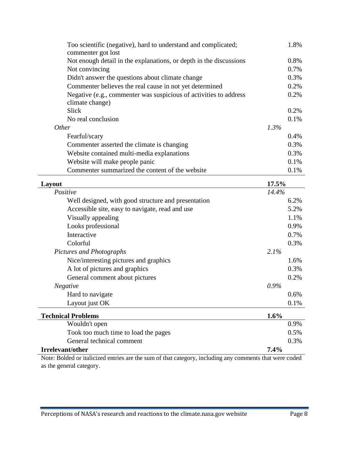| Too scientific (negative), hard to understand and complicated;<br>commenter got lost | 1.8%    |
|--------------------------------------------------------------------------------------|---------|
| Not enough detail in the explanations, or depth in the discussions                   | 0.8%    |
| Not convincing                                                                       | 0.7%    |
| Didn't answer the questions about climate change                                     | 0.3%    |
| Commenter believes the real cause in not yet determined                              | 0.2%    |
| Negative (e.g., commenter was suspicious of activities to address<br>climate change) | 0.2%    |
| <b>Slick</b>                                                                         | 0.2%    |
| No real conclusion                                                                   | 0.1%    |
| <i>Other</i>                                                                         | 1.3%    |
| Fearful/scary                                                                        | $0.4\%$ |
| Commenter asserted the climate is changing                                           | 0.3%    |
| Website contained multi-media explanations                                           | 0.3%    |
| Website will make people panic                                                       | 0.1%    |
| Commenter summarized the content of the website                                      | 0.1%    |
| Layout                                                                               | 17.5%   |
| Positive                                                                             | 14.4%   |
| Well designed, with good structure and presentation                                  | 6.2%    |
| Accessible site easy to navigate read and use                                        | $5.2\%$ |

| well designed, with good structure and presentation |         | $0.2\%$ |
|-----------------------------------------------------|---------|---------|
| Accessible site, easy to navigate, read and use     |         | 5.2%    |
| Visually appealing                                  |         | 1.1%    |
| Looks professional                                  |         | 0.9%    |
| Interactive                                         |         | 0.7%    |
| Colorful                                            |         | 0.3%    |
| Pictures and Photographs                            | 2.1%    |         |
| Nice/interesting pictures and graphics              |         | 1.6%    |
| A lot of pictures and graphics                      |         | 0.3%    |
| General comment about pictures                      |         | 0.2%    |
| Negative                                            | $0.9\%$ |         |
| Hard to navigate                                    |         | $0.6\%$ |
| Layout just OK                                      |         | 0.1%    |
| <b>Technical Problems</b>                           | 1.6%    |         |
| Wouldn't open                                       |         | 0.9%    |
| Took too much time to load the pages                |         | 0.5%    |
| General technical comment                           |         | 0.3%    |

### **Irrelevant/other 7.4%**

Note: Bolded or italicized entries are the sum of that category, including any comments that were coded as the general category.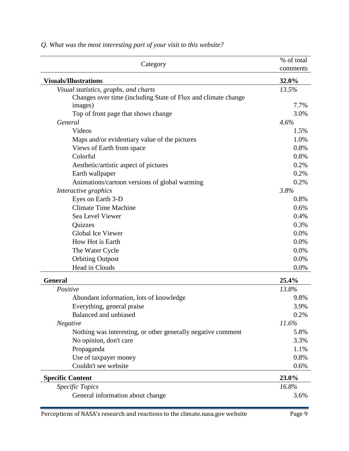| Category                                                      | % of total<br>comments |
|---------------------------------------------------------------|------------------------|
| <b>Visuals/Illustrations</b>                                  | 32.0%                  |
| Visual statistics, graphs, and charts                         | 13.5%                  |
| Changes over time (including State of Flux and climate change |                        |
| images)                                                       | 7.7%                   |
| Top of front page that shows change                           | 3.0%                   |
| General                                                       | 4.6%                   |
| Videos                                                        | 1.5%                   |
| Maps and/or evidentiary value of the pictures                 | 1.0%                   |
| Views of Earth from space                                     | 0.8%                   |
| Colorful                                                      | 0.8%                   |
| Aesthetic/artistic aspect of pictures                         | 0.2%                   |
| Earth wallpaper                                               | 0.2%                   |
| Animations/cartoon versions of global warming                 | 0.2%                   |
| Interactive graphics                                          | 3.8%                   |
| Eyes on Earth 3-D                                             | 0.8%                   |
| <b>Climate Time Machine</b>                                   | 0.6%                   |
| Sea Level Viewer                                              | 0.4%                   |
| Quizzes                                                       | 0.3%                   |
| <b>Global Ice Viewer</b>                                      | 0.0%                   |
| How Hot is Earth                                              | 0.0%                   |
| The Water Cycle                                               | 0.0%                   |
| <b>Orbiting Outpost</b>                                       | 0.0%                   |
| Head in Clouds                                                | 0.0%                   |
| <b>General</b>                                                | 25.4%                  |
| Positive                                                      | 13.8%                  |
| Abundant information, lots of knowledge                       | 9.8%                   |
| Everything, general praise                                    | 3.9%                   |
| <b>Balanced and unbiased</b>                                  | 0.2%                   |
| <b>Negative</b>                                               | 11.6%                  |
| Nothing was interesting, or other generally negative comment  | 5.8%                   |
| No opinion, don't care                                        | 3.3%                   |
| Propaganda                                                    | 1.1%                   |
| Use of taxpayer money                                         | 0.8%                   |
| Couldn't see website                                          | 0.6%                   |
| <b>Specific Content</b>                                       | 23.0%                  |
| Specific Topics                                               | 16.8%                  |
| General information about change                              | 3.6%                   |

*Q. What was the most interesting part of your visit to this website?*

Perceptions of NASA's research and reactions to the climate.nasa.gov website Page 9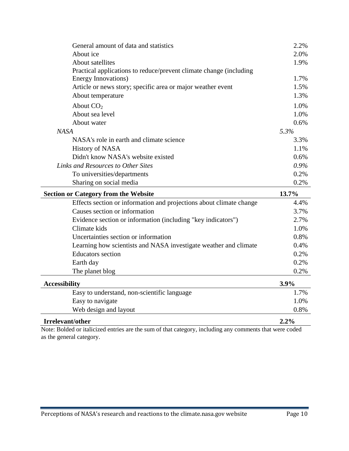| General amount of data and statistics                              | 2.2%    |
|--------------------------------------------------------------------|---------|
| About ice                                                          | 2.0%    |
| About satellites                                                   | 1.9%    |
| Practical applications to reduce/prevent climate change (including |         |
| Energy Innovations)                                                | 1.7%    |
| Article or news story; specific area or major weather event        | 1.5%    |
| About temperature                                                  | 1.3%    |
| About $CO2$                                                        | 1.0%    |
| About sea level                                                    | 1.0%    |
| About water                                                        | $0.6\%$ |
| <b>NASA</b>                                                        | 5.3%    |
| NASA's role in earth and climate science                           | 3.3%    |
| History of NASA                                                    | 1.1%    |
| Didn't know NASA's website existed                                 | $0.6\%$ |
| Links and Resources to Other Sites                                 | $0.9\%$ |
| To universities/departments                                        | $0.2\%$ |
| Sharing on social media                                            | 0.2%    |
|                                                                    |         |

| <b>Section or Category from the Website</b>                         | 13.7% |
|---------------------------------------------------------------------|-------|
| Effects section or information and projections about climate change | 4.4%  |
| Causes section or information                                       | 3.7%  |
| Evidence section or information (including "key indicators")        | 2.7%  |
| Climate kids                                                        | 1.0%  |
| Uncertainties section or information                                | 0.8%  |
| Learning how scientists and NASA investigate weather and climate    | 0.4%  |
| <b>Educators</b> section                                            | 0.2%  |
| Earth day                                                           | 0.2%  |
| The planet blog                                                     | 0.2%  |
|                                                                     |       |

| <b>Accessibility</b>                        | 3.9%    |
|---------------------------------------------|---------|
| Easy to understand, non-scientific language | 1.7%    |
| Easy to navigate                            | 1.0%    |
| Web design and layout                       | 0.8%    |
| Irrelevant/other                            | $2.2\%$ |

Note: Bolded or italicized entries are the sum of that category, including any comments that were coded as the general category.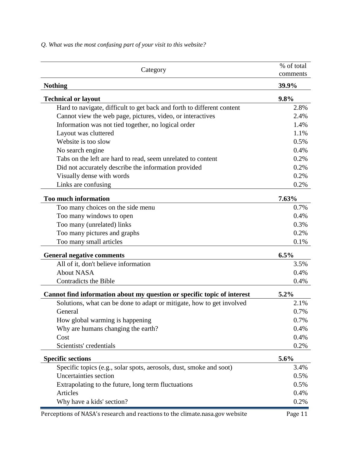Category % of total wide of the community of the community of the community of the community of the community of  $\mathcal{C}$ comments **Nothing 39.9% Technical or layout 9.8%** Hard to navigate, difficult to get back and forth to different content 2.8% Cannot view the web page, pictures, video, or interactives 2.4% Information was not tied together, no logical order 1.4% Layout was cluttered 1.1% Website is too slow  $0.5\%$ No search engine 0.4% Tabs on the left are hard to read, seem unrelated to content 0.2% Did not accurately describe the information provided 0.2% Visually dense with words 0.2% and 0.2% Links are confusing 0.2% **Too much information 7.63%** Too many choices on the side menu 0.7% Too many windows to open 0.4% Too many (unrelated) links 0.3% Too many pictures and graphs 0.2% Too many small articles 0.1% **General negative comments 6.5%** All of it, don't believe information 3.5% About NASA 0.4%  $\alpha$  Contradicts the Bible 0.4% **Cannot find information about my question or specific topic of interest 5.2%** Solutions, what can be done to adapt or mitigate, how to get involved 2.1% General 0.7% How global warming is happening  $0.7\%$ Why are humans changing the earth? 0.4%  $\cos t$  0.4% Scientists' credentials and the contract of the contract of the contract of the contract of the contract of the contract of the contract of the contract of the contract of the contract of the contract of the contract of th **Specific sections 5.6%** Specific topics (e.g., solar spots, aerosols, dust, smoke and soot) 3.4% Uncertainties section 0.5% Extrapolating to the future, long term fluctuations 0.5% Articles 0.4% Why have a kids' section? 0.2%

*Q. What was the most confusing part of your visit to this website?*

Perceptions of NASA's research and reactions to the climate.nasa.gov website Page 11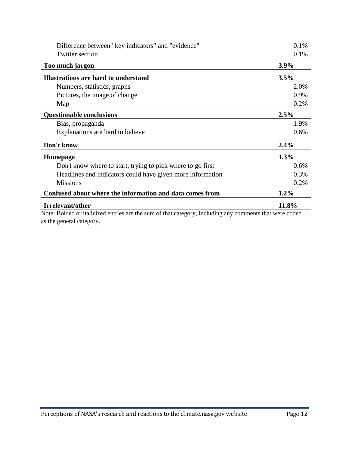| Twitter section<br>$3.9\%$<br>Too much jargon<br>Illustrations are hard to understand<br>3.5%<br>Numbers, statistics, graphs<br>Pictures, the image of change<br>Map<br>2.5%<br><b>Questionable conclusions</b><br>Bias, propaganda<br>Explanations are hard to believe<br>Don't know<br>2.4% | 0.1%<br>2.0% |
|-----------------------------------------------------------------------------------------------------------------------------------------------------------------------------------------------------------------------------------------------------------------------------------------------|--------------|
|                                                                                                                                                                                                                                                                                               |              |
|                                                                                                                                                                                                                                                                                               |              |
|                                                                                                                                                                                                                                                                                               |              |
|                                                                                                                                                                                                                                                                                               |              |
|                                                                                                                                                                                                                                                                                               | 0.9%         |
|                                                                                                                                                                                                                                                                                               | 0.2%         |
|                                                                                                                                                                                                                                                                                               |              |
|                                                                                                                                                                                                                                                                                               | 1.9%         |
|                                                                                                                                                                                                                                                                                               | 0.6%         |
|                                                                                                                                                                                                                                                                                               |              |
| 1.3%<br><b>Homepage</b>                                                                                                                                                                                                                                                                       |              |
| Don't know where to start, trying to pick where to go first                                                                                                                                                                                                                                   | 0.6%         |
| Headlines and indicators could have given more information                                                                                                                                                                                                                                    | 0.3%         |
| <b>Missions</b>                                                                                                                                                                                                                                                                               | 0.2%         |
| Confused about where the information and data comes from<br>$1.2\%$                                                                                                                                                                                                                           |              |
| 11.8%<br><b>Irrelevant/other</b>                                                                                                                                                                                                                                                              |              |

Note: Bolded or italicized entries are the sum of that category, including any comments that were coded as the general category.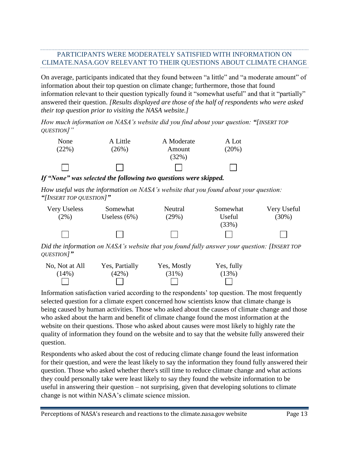# <span id="page-12-0"></span>PARTICIPANTS WERE MODERATELY SATISFIED WITH INFORMATION ON CLIMATE.NASA.GOV RELEVANT TO THEIR QUESTIONS ABOUT CLIMATE CHANGE

On average, participants indicated that they found between "a little" and "a moderate amount" of information about their top question on climate change; furthermore, those that found information relevant to their question typically found it "somewhat useful" and that it "partially" answered their question. *[Results displayed are those of the half of respondents who were asked their top question prior to visiting the NASA website.]*

*How much information on NASA's website did you find about your question: "[INSERT TOP QUESTION]"*

| None  | A Little | A Moderate | A Lot |
|-------|----------|------------|-------|
| (22%) | (26%)    | Amount     | (20%) |
|       |          | (32%)      |       |
|       |          |            |       |

*If "None" was selected the following two questions were skipped.*

*How useful was the information on NASA's website that you found about your question: "[INSERT TOP QUESTION]"*



*Did the information on NASA's website that you found fully answer your question: [INSERT TOP QUESTION]"* 



Information satisfaction varied according to the respondents' top question. The most frequently selected question for a climate expert concerned how scientists know that climate change is being caused by human activities. Those who asked about the causes of climate change and those who asked about the harm and benefit of climate change found the most information at the website on their questions. Those who asked about causes were most likely to highly rate the quality of information they found on the website and to say that the website fully answered their question.

Respondents who asked about the cost of reducing climate change found the least information for their question, and were the least likely to say the information they found fully answered their question. Those who asked whether there's still time to reduce climate change and what actions they could personally take were least likely to say they found the website information to be useful in answering their question – not surprising, given that developing solutions to climate change is not within NASA's climate science mission.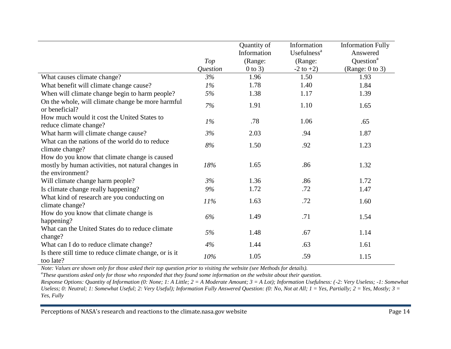|                                                                       |          | Quantity of | Information             | <b>Information Fully</b> |
|-----------------------------------------------------------------------|----------|-------------|-------------------------|--------------------------|
|                                                                       |          | Information | Usefulness <sup>a</sup> | Answered                 |
|                                                                       | Top      | (Range:     | (Range:                 | Question <sup>a</sup>    |
|                                                                       | Question | $0$ to 3)   | $-2$ to $+2$ )          | (Range: $0$ to 3)        |
| What causes climate change?                                           | 3%       | 1.96        | 1.50                    | 1.93                     |
| What benefit will climate change cause?                               | $1\%$    | 1.78        | 1.40                    | 1.84                     |
| When will climate change begin to harm people?                        | 5%       | 1.38        | 1.17                    | 1.39                     |
| On the whole, will climate change be more harmful<br>or beneficial?   | 7%       | 1.91        | 1.10                    | 1.65                     |
| How much would it cost the United States to<br>reduce climate change? | $1\%$    | .78         | 1.06                    | .65                      |
| What harm will climate change cause?                                  | 3%       | 2.03        | .94                     | 1.87                     |
| What can the nations of the world do to reduce<br>climate change?     | 8%       | 1.50        | .92                     | 1.23                     |
| How do you know that climate change is caused                         |          |             |                         |                          |
| mostly by human activities, not natural changes in                    | 18%      | 1.65        | .86                     | 1.32                     |
| the environment?                                                      |          |             |                         |                          |
| Will climate change harm people?                                      | 3%       | 1.36        | .86                     | 1.72                     |
| Is climate change really happening?                                   | 9%       | 1.72        | .72                     | 1.47                     |
| What kind of research are you conducting on<br>climate change?        | 11%      | 1.63        | .72                     | 1.60                     |
| How do you know that climate change is<br>happening?                  | 6%       | 1.49        | .71                     | 1.54                     |
| What can the United States do to reduce climate<br>change?            | 5%       | 1.48        | .67                     | 1.14                     |
| What can I do to reduce climate change?                               | 4%       | 1.44        | .63                     | 1.61                     |
| Is there still time to reduce climate change, or is it<br>too late?   | 10%      | 1.05        | .59                     | 1.15                     |

*Note: Values are shown only for those asked their top question prior to visiting the website (see Methods for details).*

*a These questions asked only for those who responded that they found some information on the website about their question.*

*Response Options: Quantity of Information (0: None; 1: A Little; 2 = A Moderate Amount; 3 = A Lot); Information Usefulness: (-2: Very Useless; -1: Somewhat Useless; 0: Neutral; 1: Somewhat Useful; 2: Very Useful); Information Fully Answered Question: (0: No, Not at All; 1 = Yes, Partially; 2 = Yes, Mostly; 3 = Yes, Fully* 

Perceptions of NASA's research and reactions to the climate.nasa.gov website Page 14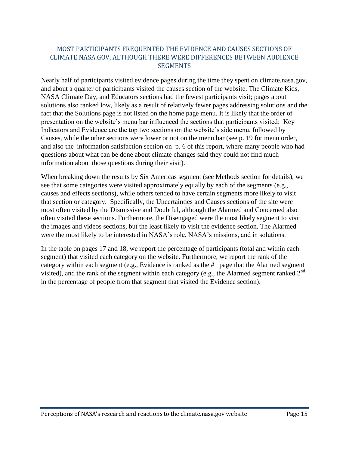# <span id="page-14-0"></span>MOST PARTICIPANTS FREQUENTED THE EVIDENCE AND CAUSES SECTIONS OF CLIMATE.NASA.GOV, ALTHOUGH THERE WERE DIFFERENCES BETWEEN AUDIENCE SEGMENTS

Nearly half of participants visited evidence pages during the time they spent on climate.nasa.gov, and about a quarter of participants visited the causes section of the website. The Climate Kids, NASA Climate Day, and Educators sections had the fewest participants visit; pages about solutions also ranked low, likely as a result of relatively fewer pages addressing solutions and the fact that the Solutions page is not listed on the home page menu. It is likely that the order of presentation on the website's menu bar influenced the sections that participants visited: Key Indicators and Evidence are the top two sections on the website's side menu, followed by Causes, while the other sections were lower or not on the menu bar (see p. 19 for menu order, and also the information satisfaction section on p. 6 of this report, where many people who had questions about what can be done about climate changes said they could not find much information about those questions during their visit).

When breaking down the results by Six Americas segment (see Methods section for details), we see that some categories were visited approximately equally by each of the segments (e.g., causes and effects sections), while others tended to have certain segments more likely to visit that section or category. Specifically, the Uncertainties and Causes sections of the site were most often visited by the Dismissive and Doubtful, although the Alarmed and Concerned also often visited these sections. Furthermore, the Disengaged were the most likely segment to visit the images and videos sections, but the least likely to visit the evidence section. The Alarmed were the most likely to be interested in NASA's role, NASA's missions, and in solutions.

In the table on pages 17 and 18, we report the percentage of participants (total and within each segment) that visited each category on the website. Furthermore, we report the rank of the category within each segment (e.g., Evidence is ranked as the #1 page that the Alarmed segment visited), and the rank of the segment within each category (e.g., the Alarmed segment ranked  $2<sup>nd</sup>$ in the percentage of people from that segment that visited the Evidence section).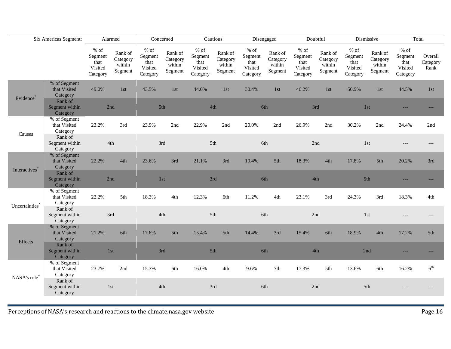| Six Americas Segment:      |                                          | Alarmed                                          |                                          |                                                          | Concerned                                        | Cautious                                         |                                          |                                                  | Disengaged                               |                                                  | Doubtful                                 |                                                  | Dismissive                               | Total                                            |                             |
|----------------------------|------------------------------------------|--------------------------------------------------|------------------------------------------|----------------------------------------------------------|--------------------------------------------------|--------------------------------------------------|------------------------------------------|--------------------------------------------------|------------------------------------------|--------------------------------------------------|------------------------------------------|--------------------------------------------------|------------------------------------------|--------------------------------------------------|-----------------------------|
|                            |                                          | $%$ of<br>Segment<br>that<br>Visited<br>Category | Rank of<br>Category<br>within<br>Segment | $%$ of<br>${\tt Segment}$<br>that<br>Visited<br>Category | Rank of<br>Category<br>within<br>${\tt Segment}$ | $%$ of<br>Segment<br>that<br>Visited<br>Category | Rank of<br>Category<br>within<br>Segment | $%$ of<br>Segment<br>that<br>Visited<br>Category | Rank of<br>Category<br>within<br>Segment | $%$ of<br>Segment<br>that<br>Visited<br>Category | Rank of<br>Category<br>within<br>Segment | $%$ of<br>Segment<br>that<br>Visited<br>Category | Rank of<br>Category<br>within<br>Segment | $%$ of<br>Segment<br>that<br>Visited<br>Category | Overall<br>Category<br>Rank |
| Evidence*                  | % of Segment<br>that Visited<br>Category | 49.0%                                            | 1st                                      | 43.5%                                                    | 1st                                              | 44.0%                                            | 1st                                      | 30.4%                                            | 1st                                      | 46.2%                                            | 1st                                      | 50.9%                                            | 1st                                      | 44.5%                                            | 1st                         |
|                            | Rank of<br>Segment within<br>Category    | 2nd                                              |                                          |                                                          | 5th                                              | 4th                                              |                                          |                                                  | 6th                                      |                                                  | 3rd                                      |                                                  | 1st                                      |                                                  |                             |
|                            | % of Segment<br>that Visited<br>Category | 23.2%                                            | 3rd                                      | 23.9%                                                    | 2nd                                              | 22.9%                                            | 2nd                                      | 20.0%                                            | 2nd                                      | 26.9%                                            | 2nd                                      | 30.2%                                            | 2nd                                      | 24.4%                                            | 2nd                         |
| Causes                     | Rank of<br>Segment within<br>Category    | 4th                                              |                                          |                                                          | 3rd                                              | 5th                                              |                                          |                                                  | 6th                                      |                                                  | 2nd                                      |                                                  | 1st                                      |                                                  |                             |
|                            | % of Segment<br>that Visited<br>Category | 22.2%                                            | 4th                                      | 23.6%                                                    | 3rd                                              | 21.1%                                            | 3rd                                      | 10.4%                                            | 5th                                      | 18.3%                                            | 4th                                      | 17.8%                                            | 5th                                      | 20.2%                                            | 3rd                         |
| Interactives <sup>7</sup>  | Rank of<br>Segment within<br>Category    | 2nd                                              |                                          |                                                          | 1st                                              | 3rd                                              |                                          |                                                  | 6th                                      |                                                  | 4th                                      |                                                  | 5th                                      |                                                  |                             |
| Uncertainties <sup>*</sup> | % of Segment<br>that Visited<br>Category | 22.2%                                            | 5th                                      | 18.3%                                                    | 4th                                              | 12.3%                                            | 6th                                      | 11.2%                                            | 4th                                      | 23.1%                                            | 3rd                                      | 24.3%                                            | 3rd                                      | 18.3%                                            | 4th                         |
|                            | Rank of<br>Segment within<br>Category    | 3rd                                              |                                          |                                                          | 4th                                              | 5th                                              |                                          |                                                  | 6th                                      |                                                  | 2nd                                      |                                                  | 1st                                      | $---$                                            |                             |
| <b>Effects</b>             | % of Segment<br>that Visited<br>Category | 21.2%                                            | 6th                                      | 17.8%                                                    | 5th                                              | 15.4%                                            | 5th                                      | 14.4%                                            | 3rd                                      | 15.4%                                            | 6th                                      | 18.9%                                            | 4th                                      | 17.2%                                            | 5th                         |
|                            | Rank of<br>Segment within<br>Category    |                                                  | 1st                                      |                                                          | 3rd                                              | 5th                                              |                                          |                                                  | 6th                                      |                                                  | $4\mathrm{th}$                           | 2nd                                              |                                          |                                                  |                             |
| NASA's role <sup>*</sup>   | % of Segment<br>that Visited<br>Category | 23.7%                                            | 2nd                                      | 15.3%                                                    | 6th                                              | 16.0%                                            | 4th                                      | 9.6%                                             | 7th                                      | 17.3%                                            | 5th                                      | 13.6%                                            | 6th                                      | 16.2%                                            | $6^{\text{th}}$             |
|                            | Rank of<br>Segment within<br>Category    | 1st                                              |                                          |                                                          | 4th                                              | 3rd                                              |                                          |                                                  | 6th                                      |                                                  | 2nd                                      |                                                  | 5th                                      |                                                  |                             |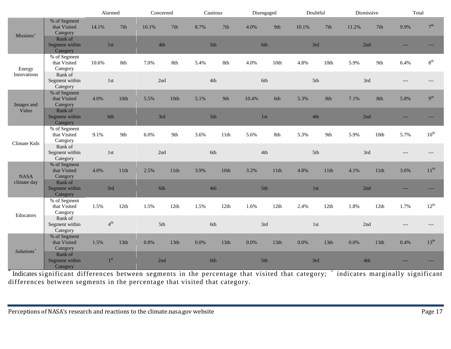|                            |                                          | Alarmed         |                  | Concerned |      | Cautious |      | Disengaged |      | Doubtful |                  | Dismissive |                  | Total |                  |
|----------------------------|------------------------------------------|-----------------|------------------|-----------|------|----------|------|------------|------|----------|------------------|------------|------------------|-------|------------------|
| $Missions+$                | % of Segment<br>that Visited<br>Category | 14.1%           | 7th              | 10.1%     | 7th  | 8.7%     | 7th  | 4.0%       | 9th  | 10.1%    | 7th              | 11.2%      | 7th              | 9.9%  | 7 <sup>th</sup>  |
|                            | Rank of<br>Segment within<br>Category    | 1st             |                  | 4th       |      | 5th      |      | 6th        |      | 3rd      |                  | 2nd        |                  |       |                  |
| Energy                     | % of Segment<br>that Visited<br>Category | 10.6%           | 8th              | 7.0%      | 8th  | 5.4%     | 8th  | 4.0%       | 10th | 4.8%     | 10 <sup>th</sup> | 5.9%       | 9th              | 6.4%  | $8^{\rm th}$     |
| Innovations                | Rank of<br>Segment within<br>Category    | 1st             |                  | 2nd       |      | 4th      |      | 6th        |      | 5th      |                  | 3rd        |                  | $---$ |                  |
| Images and                 | % of Segment<br>that Visited<br>Category | 4.0%            | 10th             | 5.5%      | 10th | 5.1%     | 9th  | 10.4%      | 6th  | 5.3%     | 8th              | 7.1%       | 8th              | 5.8%  | 9 <sup>th</sup>  |
| Video                      | Rank of<br>Segment within<br>Category    | 6th             |                  | 3rd       |      | 5th      |      | 1st        |      | 4th      |                  | 2nd        |                  |       |                  |
| Climate Kids               | % of Segment<br>that Visited<br>Category | 9.1%            | 9th              | 6.0%      | 9th  | 3.6%     | 11th | 5.6%       | 8th  | 5.3%     | 9th              | 5.9%       | 10th             | 5.7%  | $10^{\text{th}}$ |
|                            | Rank of<br>Segment within<br>Category    | 1st             |                  | 2nd       |      | 6th      |      | 4th        |      | 5th      |                  | 3rd        |                  |       |                  |
| <b>NASA</b><br>climate day | % of Segment<br>that Visited<br>Category | 4.0%            | 11th             | 2.5%      | 11th | 3.9%     | 10th | 3.2%       | 11th | 4.8%     | 11th             | 4.1%       | 11th             | 3.6%  | $11^{\text{th}}$ |
|                            | Rank of<br>Segment within<br>Category    | 3rd             |                  | 6th       |      | 4th      |      | 5th        |      | $1st$    |                  | 2nd        |                  |       |                  |
| Educators                  | % of Segment<br>that Visited<br>Category | 1.5%            | 12th             | 1.5%      | 12th | 1.5%     | 12th | 1.6%       | 12th | 2.4%     | 12th             | 1.8%       | 12th             | 1.7%  | $12^{\text{th}}$ |
|                            | Rank of<br>Segment within<br>Category    | $4^{\text{th}}$ |                  | 5th       |      | 6th      |      | 3rd        |      | 1st      |                  | 2nd        |                  |       |                  |
| Solutions <sup>+</sup>     | % of Segment<br>that Visited<br>Category | 1.5%            | 13 <sup>th</sup> | 0.8%      | 13th | 0.0%     | 13th | 0.0%       | 13th | 0.0%     | 13th             | 0.0%       | 13 <sup>th</sup> | 0.4%  | $13^{th}$        |
|                            | Rank of<br>Segment within<br>Category    | 1 <sup>st</sup> |                  | 2nd       |      | 6th      |      | 5th        |      | 3rd      |                  | 4th        |                  |       |                  |

\* Indicates significant differences between segments in the percentage that visited that category; <sup>+</sup> indicates marginally significant differences between segments in the percentage that visited that category.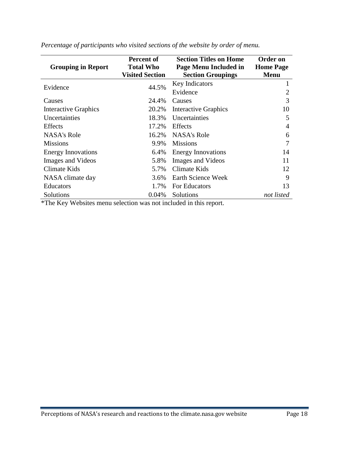| <b>Grouping in Report</b>   | <b>Percent of</b><br><b>Total Who</b><br><b>Visited Section</b> | <b>Section Titles on Home</b><br>Page Menu Included in<br><b>Section Groupings</b> | Order on<br><b>Home Page</b><br><b>Menu</b> |
|-----------------------------|-----------------------------------------------------------------|------------------------------------------------------------------------------------|---------------------------------------------|
| Evidence                    | 44.5%                                                           | <b>Key Indicators</b>                                                              |                                             |
| Causes                      | 24.4%                                                           | Evidence<br>Causes                                                                 | 2<br>3                                      |
| <b>Interactive Graphics</b> | 20.2%                                                           | <b>Interactive Graphics</b>                                                        | 10                                          |
| Uncertainties               | 18.3%                                                           | Uncertainties                                                                      | 5                                           |
| <b>Effects</b>              | 17.2%                                                           | <b>Effects</b>                                                                     | 4                                           |
| <b>NASA's Role</b>          | 16.2%                                                           | NASA's Role                                                                        | 6                                           |
| <b>Missions</b>             | 9.9%                                                            | <b>Missions</b>                                                                    | 7                                           |
| <b>Energy Innovations</b>   | 6.4%                                                            | <b>Energy Innovations</b>                                                          | 14                                          |
| <b>Images and Videos</b>    | 5.8%                                                            | <b>Images and Videos</b>                                                           | 11                                          |
| Climate Kids                | 5.7%                                                            | Climate Kids                                                                       | 12                                          |
| NASA climate day            | 3.6%                                                            | Earth Science Week                                                                 | 9                                           |
| <b>Educators</b>            | 1.7%                                                            | For Educators                                                                      | 13                                          |
| Solutions                   | 0.04%                                                           | Solutions                                                                          | not listed                                  |

*Percentage of participants who visited sections of the website by order of menu.*

\*The Key Websites menu selection was not included in this report.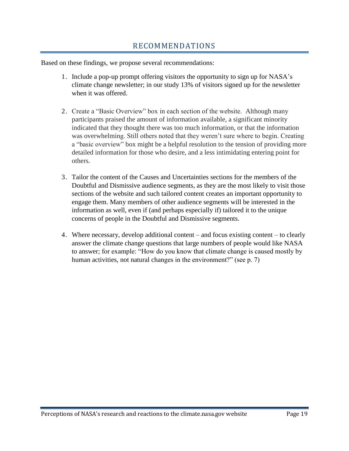# RECOMMENDATIONS

<span id="page-18-0"></span>Based on these findings, we propose several recommendations:

- 1. Include a pop-up prompt offering visitors the opportunity to sign up for NASA's climate change newsletter; in our study 13% of visitors signed up for the newsletter when it was offered.
- 2. Create a "Basic Overview" box in each section of the website. Although many participants praised the amount of information available, a significant minority indicated that they thought there was too much information, or that the information was overwhelming. Still others noted that they weren't sure where to begin. Creating a "basic overview" box might be a helpful resolution to the tension of providing more detailed information for those who desire, and a less intimidating entering point for others.
- 3. Tailor the content of the Causes and Uncertainties sections for the members of the Doubtful and Dismissive audience segments, as they are the most likely to visit those sections of the website and such tailored content creates an important opportunity to engage them. Many members of other audience segments will be interested in the information as well, even if (and perhaps especially if) tailored it to the unique concerns of people in the Doubtful and Dismissive segments.
- 4. Where necessary, develop additional content and focus existing content to clearly answer the climate change questions that large numbers of people would like NASA to answer; for example: "How do you know that climate change is caused mostly by human activities, not natural changes in the environment?" (see p. 7)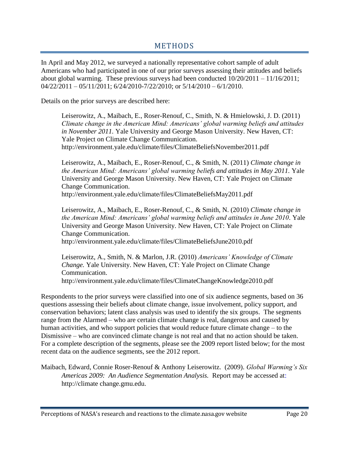# METHODS

<span id="page-19-0"></span>In April and May 2012, we surveyed a nationally representative cohort sample of adult Americans who had participated in one of our prior surveys assessing their attitudes and beliefs about global warming. These previous surveys had been conducted  $10/20/2011 - 11/16/2011$ ;  $04/22/2011 - 05/11/2011$ ;  $6/24/2010 - 7/22/2010$ ; or  $5/14/2010 - 6/1/2010$ .

Details on the prior surveys are described here:

Leiserowitz, A., Maibach, E., Roser-Renouf, C., Smith, N. & Hmielowski, J. D. (2011) *Climate change in the American Mind: Americans' global warming beliefs and attitudes in November 2011.* Yale University and George Mason University. New Haven, CT: Yale Project on Climate Change Communication. http://environment.yale.edu/climate/files/ClimateBeliefsNovember2011.pdf

Leiserowitz, A., Maibach, E., Roser-Renouf, C., & Smith, N. (2011) *Climate change in the American Mind: Americans' global warming beliefs and attitudes in May 2011.* Yale University and George Mason University. New Haven, CT: Yale Project on Climate Change Communication. <http://environment.yale.edu/climate/files/ClimateBeliefsMay2011.pdf>

Leiserowitz, A., Maibach, E., Roser-Renouf, C., & Smith, N. (2010) *Climate change in the American Mind: Americans' global warming beliefs and attitudes in June 2010*. Yale University and George Mason University. New Haven, CT: Yale Project on Climate Change Communication.

http://environment.yale.edu/climate/files/ClimateBeliefsJune2010.pdf

Leiserowitz, A., Smith, N. & Marlon, J.R. (2010) *Americans' Knowledge of Climate Change.* Yale University. New Haven, CT: Yale Project on Climate Change Communication.

http://environment.yale.edu/climate/files/ClimateChangeKnowledge2010.pdf

Respondents to the prior surveys were classified into one of six audience segments, based on 36 questions assessing their beliefs about climate change, issue involvement, policy support, and conservation behaviors; latent class analysis was used to identify the six groups. The segments range from the Alarmed – who are certain climate change is real, dangerous and caused by human activities, and who support policies that would reduce future climate change – to the Dismissive – who are convinced climate change is not real and that no action should be taken. For a complete description of the segments, please see the 2009 report listed below; for the most recent data on the audience segments, see the 2012 report.

Maibach, Edward, Connie Roser-Renouf & Anthony Leiserowitz. (2009). *Global Warming's Six Americas 2009: An Audience Segmentation Analysis.* Report may be accessed at: http://climate change.gmu.edu.